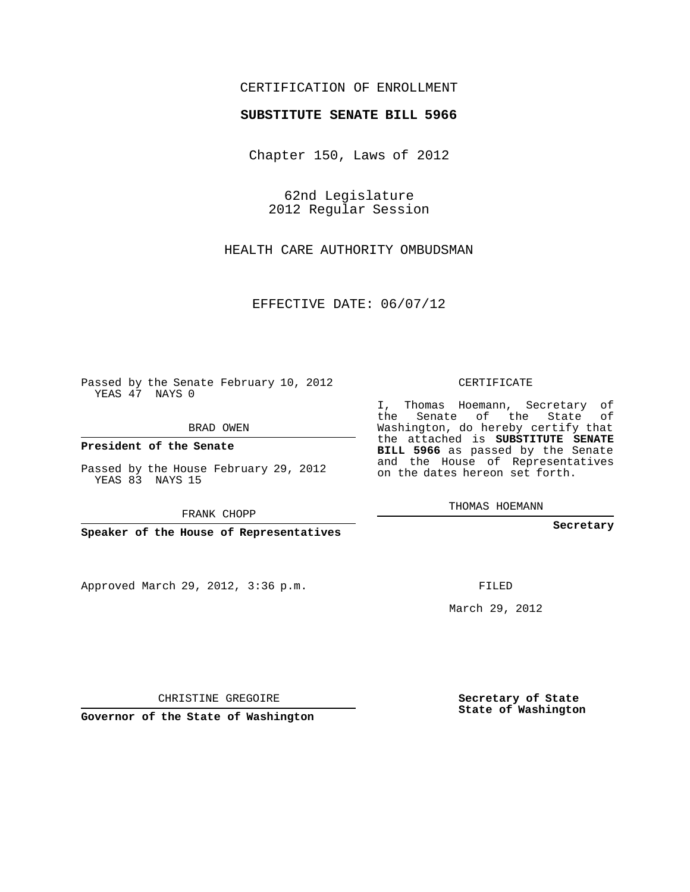## CERTIFICATION OF ENROLLMENT

## **SUBSTITUTE SENATE BILL 5966**

Chapter 150, Laws of 2012

62nd Legislature 2012 Regular Session

HEALTH CARE AUTHORITY OMBUDSMAN

EFFECTIVE DATE: 06/07/12

Passed by the Senate February 10, 2012 YEAS 47 NAYS 0

BRAD OWEN

**President of the Senate**

Passed by the House February 29, 2012 YEAS 83 NAYS 15

FRANK CHOPP

**Speaker of the House of Representatives**

Approved March 29, 2012, 3:36 p.m.

CERTIFICATE

I, Thomas Hoemann, Secretary of the Senate of the State of Washington, do hereby certify that the attached is **SUBSTITUTE SENATE BILL 5966** as passed by the Senate and the House of Representatives on the dates hereon set forth.

THOMAS HOEMANN

**Secretary**

FILED

March 29, 2012

**Secretary of State State of Washington**

CHRISTINE GREGOIRE

**Governor of the State of Washington**